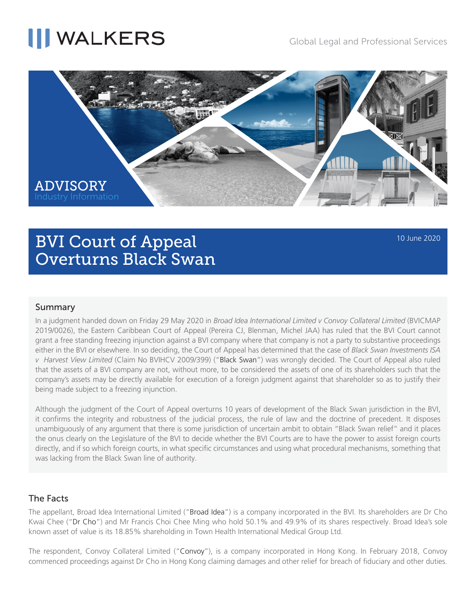# **NALKERS**



### BVI Court of Appeal Overturns Black Swan

#### 10 June 2020

### Summary

In a judgment handed down on Friday 29 May 2020 in *Broad Idea International Limited v Convoy Collateral Limited* (BVICMAP 2019/0026), the Eastern Caribbean Court of Appeal (Pereira CJ, Blenman, Michel JAA) has ruled that the BVI Court cannot grant a free standing freezing injunction against a BVI company where that company is not a party to substantive proceedings either in the BVI or elsewhere. In so deciding, the Court of Appeal has determined that the case of *Black Swan Investments ISA v Harvest View Limited* (Claim No BVIHCV 2009/399) ("Black Swan") was wrongly decided. The Court of Appeal also ruled that the assets of a BVI company are not, without more, to be considered the assets of one of its shareholders such that the company's assets may be directly available for execution of a foreign judgment against that shareholder so as to justify their being made subject to a freezing injunction.

Although the judgment of the Court of Appeal overturns 10 years of development of the Black Swan jurisdiction in the BVI, it confirms the integrity and robustness of the judicial process, the rule of law and the doctrine of precedent. It disposes unambiguously of any argument that there is some jurisdiction of uncertain ambit to obtain "Black Swan relief" and it places the onus clearly on the Legislature of the BVI to decide whether the BVI Courts are to have the power to assist foreign courts directly, and if so which foreign courts, in what specific circumstances and using what procedural mechanisms, something that was lacking from the Black Swan line of authority.

### The Facts

The appellant, Broad Idea International Limited ("Broad Idea") is a company incorporated in the BVI. Its shareholders are Dr Cho Kwai Chee ("Dr Cho") and Mr Francis Choi Chee Ming who hold 50.1% and 49.9% of its shares respectively. Broad Idea's sole known asset of value is its 18.85% shareholding in Town Health International Medical Group Ltd.

The respondent, Convoy Collateral Limited ("Convoy"), is a company incorporated in Hong Kong. In February 2018, Convoy commenced proceedings against Dr Cho in Hong Kong claiming damages and other relief for breach of fiduciary and other duties.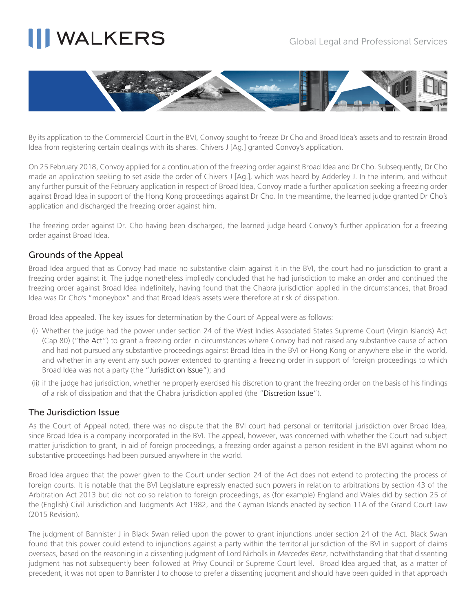# **III WALKERS**



By its application to the Commercial Court in the BVI, Convoy sought to freeze Dr Cho and Broad Idea's assets and to restrain Broad Idea from registering certain dealings with its shares. Chivers J [Ag.] granted Convoy's application.

On 25 February 2018, Convoy applied for a continuation of the freezing order against Broad Idea and Dr Cho. Subsequently, Dr Cho made an application seeking to set aside the order of Chivers J [Ag.], which was heard by Adderley J. In the interim, and without any further pursuit of the February application in respect of Broad Idea, Convoy made a further application seeking a freezing order against Broad Idea in support of the Hong Kong proceedings against Dr Cho. In the meantime, the learned judge granted Dr Cho's application and discharged the freezing order against him.

The freezing order against Dr. Cho having been discharged, the learned judge heard Convoy's further application for a freezing order against Broad Idea.

### Grounds of the Appeal

Broad Idea argued that as Convoy had made no substantive claim against it in the BVI, the court had no jurisdiction to grant a freezing order against it. The judge nonetheless impliedly concluded that he had jurisdiction to make an order and continued the freezing order against Broad Idea indefinitely, having found that the Chabra jurisdiction applied in the circumstances, that Broad Idea was Dr Cho's "moneybox" and that Broad Idea's assets were therefore at risk of dissipation.

Broad Idea appealed. The key issues for determination by the Court of Appeal were as follows:

- (i) Whether the judge had the power under section 24 of the West Indies Associated States Supreme Court (Virgin Islands) Act (Cap 80) ("the Act") to grant a freezing order in circumstances where Convoy had not raised any substantive cause of action and had not pursued any substantive proceedings against Broad Idea in the BVI or Hong Kong or anywhere else in the world, and whether in any event any such power extended to granting a freezing order in support of foreign proceedings to which Broad Idea was not a party (the "Jurisdiction Issue"); and
- (ii) if the judge had jurisdiction, whether he properly exercised his discretion to grant the freezing order on the basis of his findings of a risk of dissipation and that the Chabra jurisdiction applied (the "Discretion Issue").

### The Jurisdiction Issue

As the Court of Appeal noted, there was no dispute that the BVI court had personal or territorial jurisdiction over Broad Idea, since Broad Idea is a company incorporated in the BVI. The appeal, however, was concerned with whether the Court had subject matter jurisdiction to grant, in aid of foreign proceedings, a freezing order against a person resident in the BVI against whom no substantive proceedings had been pursued anywhere in the world.

Broad Idea argued that the power given to the Court under section 24 of the Act does not extend to protecting the process of foreign courts. It is notable that the BVI Legislature expressly enacted such powers in relation to arbitrations by section 43 of the Arbitration Act 2013 but did not do so relation to foreign proceedings, as (for example) England and Wales did by section 25 of the (English) Civil Jurisdiction and Judgments Act 1982, and the Cayman Islands enacted by section 11A of the Grand Court Law (2015 Revision).

The judgment of Bannister J in Black Swan relied upon the power to grant injunctions under section 24 of the Act. Black Swan found that this power could extend to injunctions against a party within the territorial jurisdiction of the BVI in support of claims overseas, based on the reasoning in a dissenting judgment of Lord Nicholls in *Mercedes Benz*, notwithstanding that that dissenting judgment has not subsequently been followed at Privy Council or Supreme Court level. Broad Idea argued that, as a matter of precedent, it was not open to Bannister J to choose to prefer a dissenting judgment and should have been guided in that approach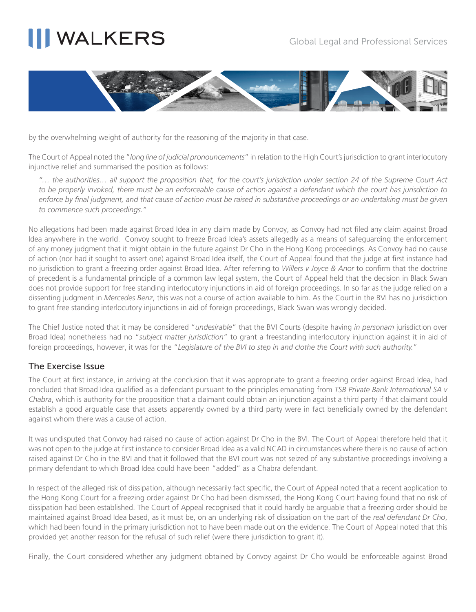# **NALKERS**



by the overwhelming weight of authority for the reasoning of the majority in that case.

The Court of Appeal noted the "*long line of judicial pronouncements*" in relation to the High Court's jurisdiction to grant interlocutory injunctive relief and summarised the position as follows:

*"… the authorities… all support the proposition that, for the court's jurisdiction under section 24 of the Supreme Court Act to be properly invoked, there must be an enforceable cause of action against a defendant which the court has jurisdiction to enforce by final judgment, and that cause of action must be raised in substantive proceedings or an undertaking must be given to commence such proceedings."*

No allegations had been made against Broad Idea in any claim made by Convoy, as Convoy had not filed any claim against Broad Idea anywhere in the world. Convoy sought to freeze Broad Idea's assets allegedly as a means of safeguarding the enforcement of any money judgment that it might obtain in the future against Dr Cho in the Hong Kong proceedings. As Convoy had no cause of action (nor had it sought to assert one) against Broad Idea itself, the Court of Appeal found that the judge at first instance had no jurisdiction to grant a freezing order against Broad Idea. After referring to *Willers v Joyce & Anor* to confirm that the doctrine of precedent is a fundamental principle of a common law legal system, the Court of Appeal held that the decision in Black Swan does not provide support for free standing interlocutory injunctions in aid of foreign proceedings. In so far as the judge relied on a dissenting judgment in *Mercedes Benz*, this was not a course of action available to him. As the Court in the BVI has no jurisdiction to grant free standing interlocutory injunctions in aid of foreign proceedings, Black Swan was wrongly decided.

The Chief Justice noted that it may be considered "*undesirable*" that the BVI Courts (despite having *in personam* jurisdiction over Broad Idea) nonetheless had no "*subject matter jurisdiction*" to grant a freestanding interlocutory injunction against it in aid of foreign proceedings, however, it was for the "*Legislature of the BVI to step in and clothe the Court with such authority.*"

### The Exercise Issue

The Court at first instance, in arriving at the conclusion that it was appropriate to grant a freezing order against Broad Idea, had concluded that Broad Idea qualified as a defendant pursuant to the principles emanating from *TSB Private Bank International SA v Chabra*, which is authority for the proposition that a claimant could obtain an injunction against a third party if that claimant could establish a good arguable case that assets apparently owned by a third party were in fact beneficially owned by the defendant against whom there was a cause of action.

It was undisputed that Convoy had raised no cause of action against Dr Cho in the BVI. The Court of Appeal therefore held that it was not open to the judge at first instance to consider Broad Idea as a valid NCAD in circumstances where there is no cause of action raised against Dr Cho in the BVI and that it followed that the BVI court was not seized of any substantive proceedings involving a primary defendant to which Broad Idea could have been "added" as a Chabra defendant.

In respect of the alleged risk of dissipation, although necessarily fact specific, the Court of Appeal noted that a recent application to the Hong Kong Court for a freezing order against Dr Cho had been dismissed, the Hong Kong Court having found that no risk of dissipation had been established. The Court of Appeal recognised that it could hardly be arguable that a freezing order should be maintained against Broad Idea based, as it must be, on an underlying risk of dissipation on the part of the *real defendant Dr Cho*, which had been found in the primary jurisdiction not to have been made out on the evidence. The Court of Appeal noted that this provided yet another reason for the refusal of such relief (were there jurisdiction to grant it).

Finally, the Court considered whether any judgment obtained by Convoy against Dr Cho would be enforceable against Broad